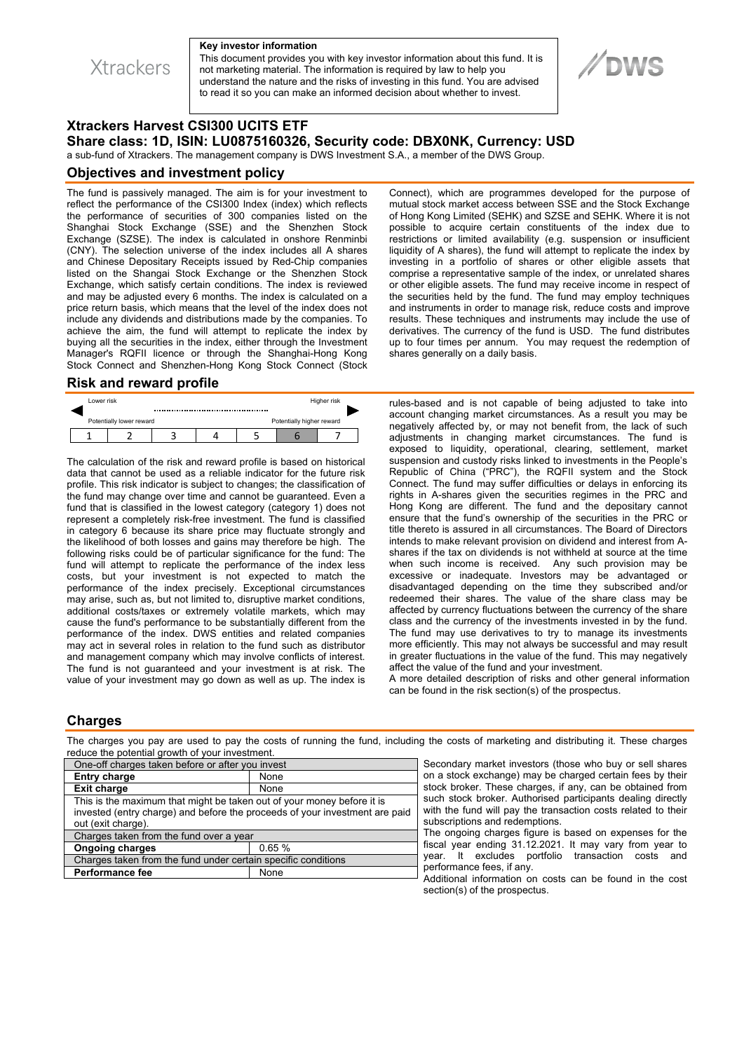**Xtrackers** 

#### **Key investor information**

This document provides you with key investor information about this fund. It is not marketing material. The information is required by law to help you understand the nature and the risks of investing in this fund. You are advised to read it so you can make an informed decision about whether to invest.

# **//DWS**

# **Xtrackers Harvest CSI300 UCITS ETF Share class: 1D, ISIN: LU0875160326, Security code: DBX0NK, Currency: USD**

a sub-fund of Xtrackers. The management company is DWS Investment S.A., a member of the DWS Group.

### **Objectives and investment policy**

The fund is passively managed. The aim is for your investment to reflect the performance of the CSI300 Index (index) which reflects the performance of securities of 300 companies listed on the Shanghai Stock Exchange (SSE) and the Shenzhen Stock Exchange (SZSE). The index is calculated in onshore Renminbi (CNY). The selection universe of the index includes all A shares and Chinese Depositary Receipts issued by Red-Chip companies listed on the Shangai Stock Exchange or the Shenzhen Stock Exchange, which satisfy certain conditions. The index is reviewed and may be adjusted every 6 months. The index is calculated on a price return basis, which means that the level of the index does not include any dividends and distributions made by the companies. To achieve the aim, the fund will attempt to replicate the index by buying all the securities in the index, either through the Investment Manager's RQFII licence or through the Shanghai-Hong Kong Stock Connect and Shenzhen-Hong Kong Stock Connect (Stock

### **Risk and reward profile**

| Lower risk                                            |  |  |  |  | Higher risk |  |  |
|-------------------------------------------------------|--|--|--|--|-------------|--|--|
| Potentially lower reward<br>Potentially higher reward |  |  |  |  |             |  |  |
|                                                       |  |  |  |  |             |  |  |

The calculation of the risk and reward profile is based on historical data that cannot be used as a reliable indicator for the future risk profile. This risk indicator is subject to changes; the classification of the fund may change over time and cannot be guaranteed. Even a fund that is classified in the lowest category (category 1) does not represent a completely risk-free investment. The fund is classified in category 6 because its share price may fluctuate strongly and the likelihood of both losses and gains may therefore be high. The following risks could be of particular significance for the fund: The fund will attempt to replicate the performance of the index less costs, but your investment is not expected to match the performance of the index precisely. Exceptional circumstances may arise, such as, but not limited to, disruptive market conditions, additional costs/taxes or extremely volatile markets, which may cause the fund's performance to be substantially different from the performance of the index. DWS entities and related companies may act in several roles in relation to the fund such as distributor and management company which may involve conflicts of interest. The fund is not guaranteed and your investment is at risk. The value of your investment may go down as well as up. The index is

Connect), which are programmes developed for the purpose of mutual stock market access between SSE and the Stock Exchange of Hong Kong Limited (SEHK) and SZSE and SEHK. Where it is not possible to acquire certain constituents of the index due to restrictions or limited availability (e.g. suspension or insufficient liquidity of A shares), the fund will attempt to replicate the index by investing in a portfolio of shares or other eligible assets that comprise a representative sample of the index, or unrelated shares or other eligible assets. The fund may receive income in respect of the securities held by the fund. The fund may employ techniques and instruments in order to manage risk, reduce costs and improve results. These techniques and instruments may include the use of derivatives. The currency of the fund is USD. The fund distributes up to four times per annum. You may request the redemption of shares generally on a daily basis.

rules-based and is not capable of being adjusted to take into account changing market circumstances. As a result you may be negatively affected by, or may not benefit from, the lack of such adjustments in changing market circumstances. The fund is exposed to liquidity, operational, clearing, settlement, market suspension and custody risks linked to investments in the People's Republic of China ("PRC"), the RQFII system and the Stock Connect. The fund may suffer difficulties or delays in enforcing its rights in A-shares given the securities regimes in the PRC and Hong Kong are different. The fund and the depositary cannot ensure that the fund's ownership of the securities in the PRC or title thereto is assured in all circumstances. The Board of Directors intends to make relevant provision on dividend and interest from Ashares if the tax on dividends is not withheld at source at the time when such income is received. Any such provision may be excessive or inadequate. Investors may be advantaged or disadvantaged depending on the time they subscribed and/or redeemed their shares. The value of the share class may be affected by currency fluctuations between the currency of the share class and the currency of the investments invested in by the fund. The fund may use derivatives to try to manage its investments more efficiently. This may not always be successful and may result in greater fluctuations in the value of the fund. This may negatively affect the value of the fund and your investment.

A more detailed description of risks and other general information can be found in the risk section(s) of the prospectus.

# **Charges**

The charges you pay are used to pay the costs of running the fund, including the costs of marketing and distributing it. These charges reduce the potential growth of your investment.

| One-off charges taken before or after you invest                                                                                                                            |       |              |  |  |
|-----------------------------------------------------------------------------------------------------------------------------------------------------------------------------|-------|--------------|--|--|
| <b>Entry charge</b>                                                                                                                                                         | None  | on a         |  |  |
| <b>Exit charge</b>                                                                                                                                                          | None  | stoc         |  |  |
| This is the maximum that might be taken out of your money before it is<br>invested (entry charge) and before the proceeds of your investment are paid<br>out (exit charge). |       |              |  |  |
| Charges taken from the fund over a year                                                                                                                                     |       |              |  |  |
| <b>Ongoing charges</b>                                                                                                                                                      | 0.65% | fisca<br>yea |  |  |
| Charges taken from the fund under certain specific conditions                                                                                                               |       |              |  |  |
| <b>Performance fee</b>                                                                                                                                                      | None  | perf<br>Add  |  |  |
|                                                                                                                                                                             |       |              |  |  |

condary market investors (those who buy or sell shares a stock exchange) may be charged certain fees by their ck broker. These charges, if any, can be obtained from h stock broker. Authorised participants dealing directly 1 the fund will pay the transaction costs related to their scriptions and redemptions.

ongoing charges figure is based on expenses for the al year ending 31.12.2021. It may vary from year to ar. It excludes portfolio transaction costs and formance fees, if any.

ditional information on costs can be found in the cost section(s) of the prospectus.